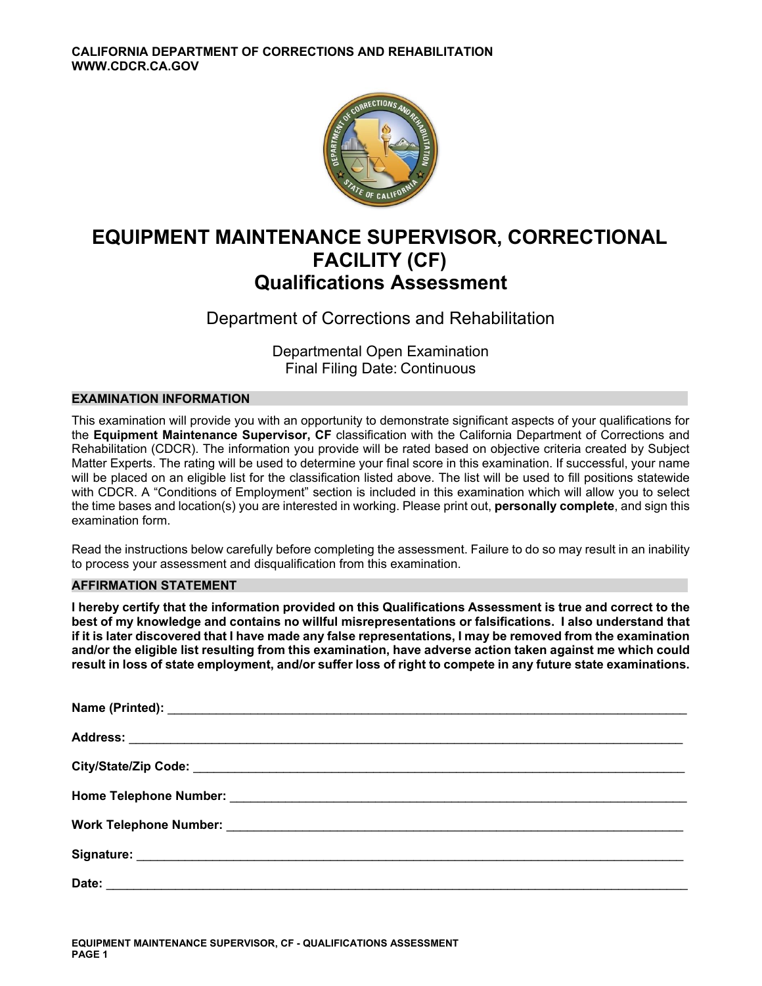

# **EQUIPMENT MAINTENANCE SUPERVISOR, CORRECTIONAL FACILITY (CF) Qualifications Assessment**

Department of Corrections and Rehabilitation

Departmental Open Examination Final Filing Date: Continuous

# **EXAMINATION INFORMATION**

This examination will provide you with an opportunity to demonstrate significant aspects of your qualifications for the **Equipment Maintenance Supervisor, CF** classification with the California Department of Corrections and Rehabilitation (CDCR). The information you provide will be rated based on objective criteria created by Subject Matter Experts. The rating will be used to determine your final score in this examination. If successful, your name will be placed on an eligible list for the classification listed above. The list will be used to fill positions statewide with CDCR. A "Conditions of Employment" section is included in this examination which will allow you to select the time bases and location(s) you are interested in working. Please print out, **personally complete**, and sign this examination form.

Read the instructions below carefully before completing the assessment. Failure to do so may result in an inability to process your assessment and disqualification from this examination.

# **AFFIRMATION STATEMENT**

**I hereby certify that the information provided on this Qualifications Assessment is true and correct to the best of my knowledge and contains no willful misrepresentations or falsifications. I also understand that if it is later discovered that I have made any false representations, I may be removed from the examination and/or the eligible list resulting from this examination, have adverse action taken against me which could result in loss of state employment, and/or suffer loss of right to compete in any future state examinations.**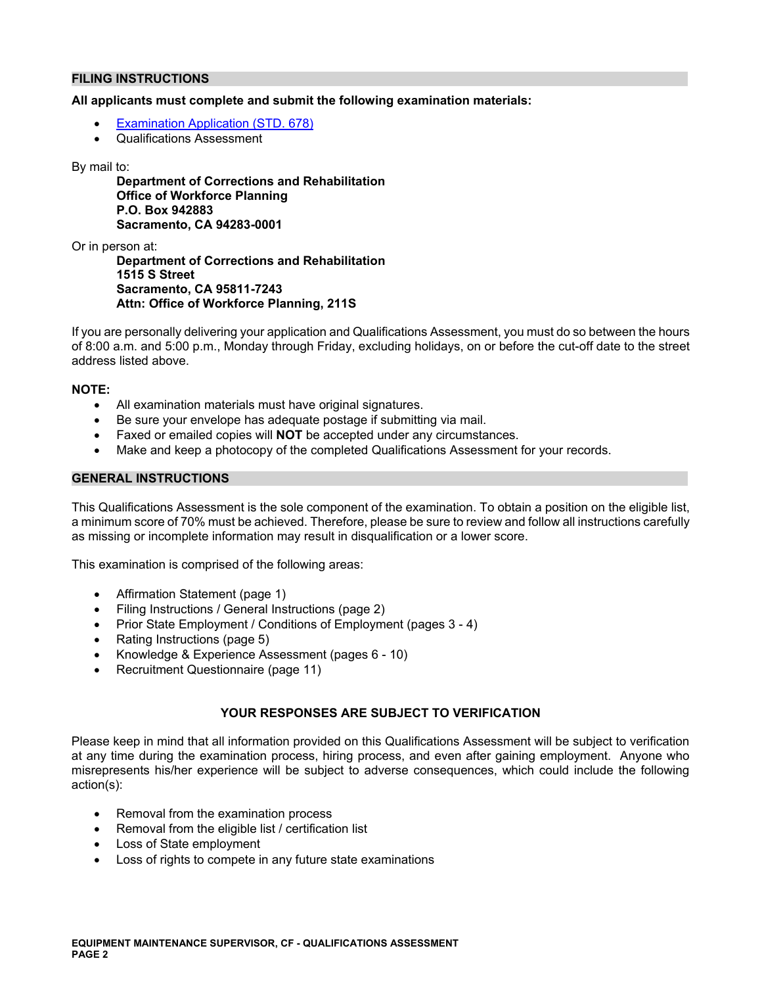# **FILING INSTRUCTIONS**

#### **All applicants must complete and submit the following examination materials:**

- [Examination Application \(STD. 678\)](https://jobs.ca.gov/pdf/STD678.pdf)
- Qualifications Assessment

#### By mail to:

**Department of Corrections and Rehabilitation Office of Workforce Planning P.O. Box 942883 Sacramento, CA 94283-0001** 

Or in person at:

**Department of Corrections and Rehabilitation 1515 S Street Sacramento, CA 95811-7243 Attn: Office of Workforce Planning, 211S** 

If you are personally delivering your application and Qualifications Assessment, you must do so between the hours of 8:00 a.m. and 5:00 p.m., Monday through Friday, excluding holidays, on or before the cut-off date to the street address listed above.

### **NOTE:**

- All examination materials must have original signatures.
- Be sure your envelope has adequate postage if submitting via mail.
- Faxed or emailed copies will **NOT** be accepted under any circumstances.
- Make and keep a photocopy of the completed Qualifications Assessment for your records.

### **GENERAL INSTRUCTIONS**

This Qualifications Assessment is the sole component of the examination. To obtain a position on the eligible list, a minimum score of 70% must be achieved. Therefore, please be sure to review and follow all instructions carefully as missing or incomplete information may result in disqualification or a lower score.

This examination is comprised of the following areas:

- Affirmation Statement (page 1)
- Filing Instructions / General Instructions (page 2)
- Prior State Employment / Conditions of Employment (pages 3 4)
- Rating Instructions (page 5)
- Knowledge & Experience Assessment (pages 6 10)
- Recruitment Questionnaire (page 11)

# **YOUR RESPONSES ARE SUBJECT TO VERIFICATION**

Please keep in mind that all information provided on this Qualifications Assessment will be subject to verification at any time during the examination process, hiring process, and even after gaining employment. Anyone who misrepresents his/her experience will be subject to adverse consequences, which could include the following action(s):

- Removal from the examination process
- Removal from the eligible list / certification list
- Loss of State employment
- Loss of rights to compete in any future state examinations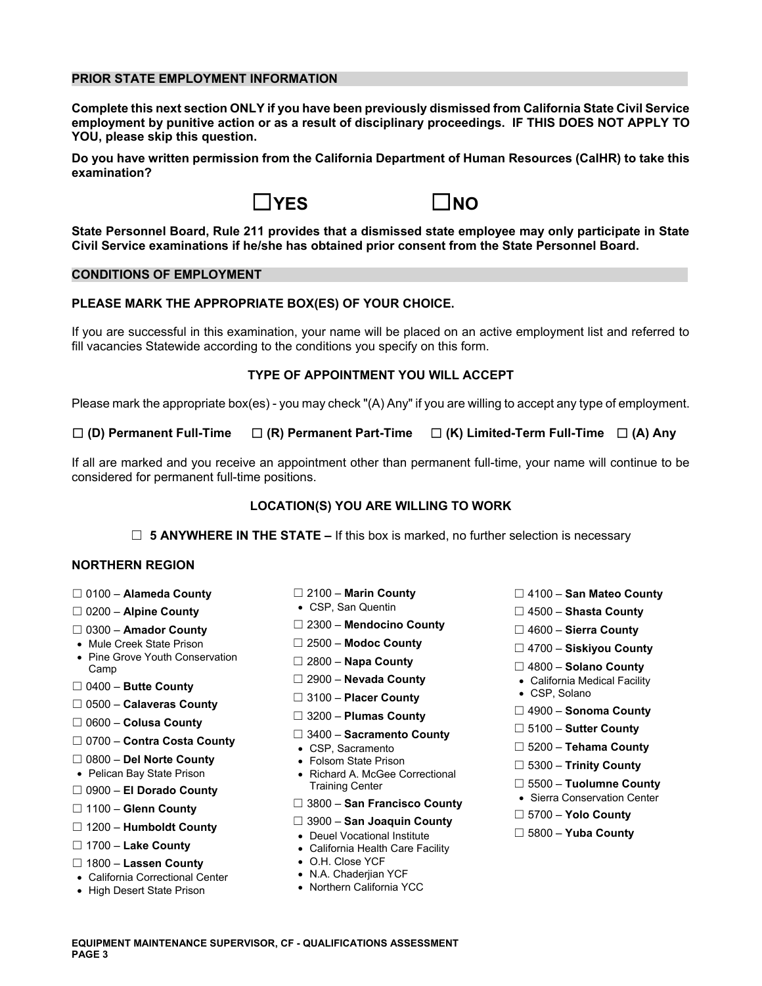### **PRIOR STATE EMPLOYMENT INFORMATION**

**Complete this next section ONLY if you have been previously dismissed from California State Civil Service employment by punitive action or as a result of disciplinary proceedings. IF THIS DOES NOT APPLY TO YOU, please skip this question.** 

**Do you have written permission from the California Department of Human Resources (CalHR) to take this examination?** 





**State Personnel Board, Rule 211 provides that a dismissed state employee may only participate in State Civil Service examinations if he/she has obtained prior consent from the State Personnel Board.** 

### **CONDITIONS OF EMPLOYMENT**

# **PLEASE MARK THE APPROPRIATE BOX(ES) OF YOUR CHOICE.**

If you are successful in this examination, your name will be placed on an active employment list and referred to fill vacancies Statewide according to the conditions you specify on this form.

#### **TYPE OF APPOINTMENT YOU WILL ACCEPT**

Please mark the appropriate box(es) - you may check "(A) Any" if you are willing to accept any type of employment.

☐ **(D) Permanent Full-Time** ☐ **(R) Permanent Part-Time** ☐ **(K) Limited-Term Full-Time** ☐ **(A) Any** 

If all are marked and you receive an appointment other than permanent full-time, your name will continue to be considered for permanent full-time positions.

#### **LOCATION(S) YOU ARE WILLING TO WORK**

☐ **5 ANYWHERE IN THE STATE –** If this box is marked, no further selection is necessary

# **NORTHERN REGION**

- 
- 
- 
- 
- Mule Creek State Prison ☐ 2500 **Modoc County** ☐ 4700 **Siskiyou County**  Pine Grove Youth Conservation ☐ 2800 **Napa County** Camp ☐ 4800 **Solano County**  ☐ 2900 – **Nevada County**  California Medical Facility ☐ 0400 – **Butte County**
- 
- ☐ 0500 **Calaveras County**
- 
- ☐ 0700 **Contra Costa County**  CSP, Sacramento ☐ 5200 **Tehama County**
- 
- 
- 
- 
- ☐ ☐ 3900 **San Joaquin County** 1200 **Humboldt County**  Deuel Vocational Institute ☐ 5800 **Yuba County**
- 
- ☐ 1800 **Lassen County**  O.H. Close YCF
- California Correctional Center N.A. Chaderjian YCF
- High Desert State Prison
- 
- 
- ☐ 2300 **Mendocino County** 0300 **Amador County** ☐ ☐ 4600 **Sierra County** 
	-
	-
	-
	- □ 3100 **Placer County**
	-
	-
	-
	-
- ☐ 0800 **Del Norte County**  Folsom State Prison ☐ 5300 **Trinity County**  Pelican Bay State Prison Richard A. McGee Correctional **<u>□ 5500</u> – El Dorado County Fraining Center County Center County County Center County Center Sierra Conservation Center<br>□ 1100 – Glenn County Sierra County Sierra Conservation Center Sierra Conservation Center Sierra Con** 
	-
- ☐ ☐ 3800 **San Francisco County** 1100 **Glenn County** ☐ 5700 **Yolo County** 
	-
	- California Health Care Facility
	-
	-
	-
- ☐ 0100 **Alameda County** ☐ 2100 **Marin County** ☐ 4100 **San Mateo County**
- □ 0200 Alpine County <br>
0200 Alpine County **and Count in COU** + CSP, San Quentin and a county and a integration of the County of CSP, San Quentin
	-
	-
	-
	-
	-
- ☐ ☐ 4900 **Sonoma County** 3200 **Plumas County** ☐ 0600 **Colusa County** 
	-
	- ☐ 5100 **Sutter County** 3400 **Sacramento County** ☐
		-
		-
		-
		-
		-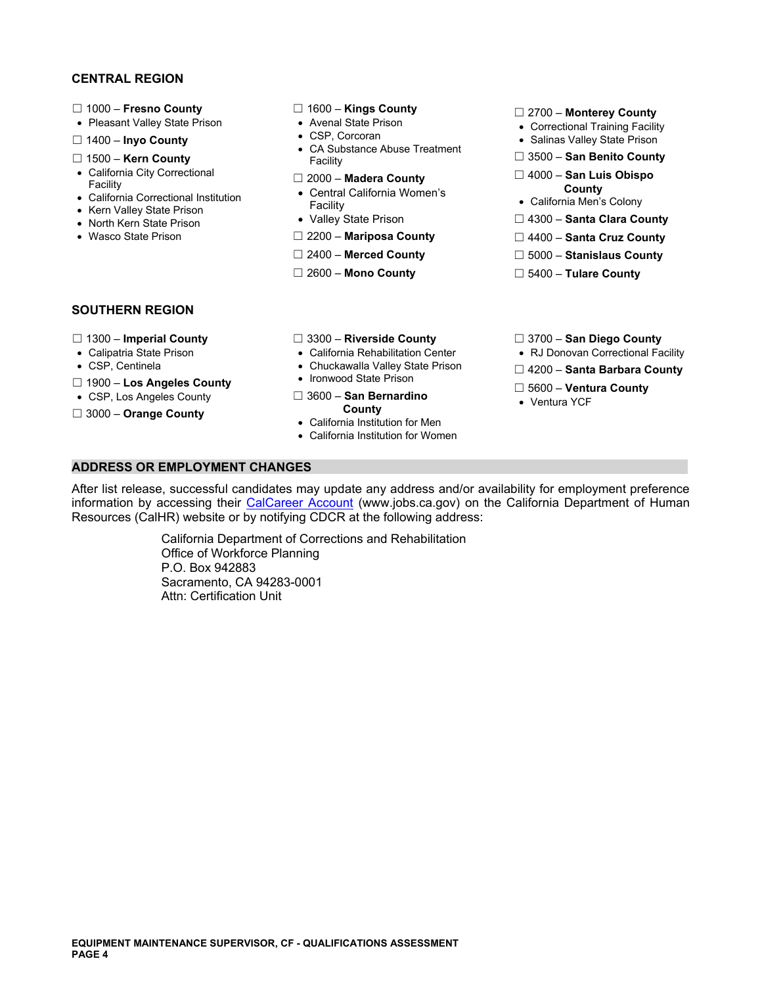# **CENTRAL REGION**

- 
- 
- 
- 
- 
- 
- 
- 
- 

- 
- 
- □ 1400 **Inyo County** <br>CA Substance Abuse Treatment **SALING SALING COUNTY** <br>Facility Facility **COUNTY** Facility **COUNTY COUNTY COUNTY** ☐ 1500 – **Kern County** Facility ☐ 3500 – **San Benito County** 
	-
- California City Correctional ☐ 2000 **Madera County** ☐ 4000 **San Luis Obispo** Facility Central California Women's **County**  California Correctional Institution Facility California Men's Colony Kern Valley State Prison
	-
	-
	-
	-

- ☐ 1000 **Fresno County** ☐ 1600 **Kings County** ☐ 2700 **Monterey County**  Pleasant Valley State Prison Avenal State Prison Correctional Training Facility
	-
	-
	-
	-
- Kern Valley State Prison **Facility** Practitive Prison **in State Prison in the County** of North Kern State Prison **in State Prison** in North Kern State Prison **in North Kern State Prison** in North Kern State Prison **in N**
- Wasco State Prison **DEMILY COLL THE COUNTY ARE COUNTY** DEMILY ASSAUTED MATIPOSA County DEMILY AND DEMILY AND DEMILY AND DEMILY AND DEMILY AND DEMILY AND DEMILY AND DEMILY ARE COUNTY
	- ☐ 2400 **Merced County** ☐ 5000 **Stanislaus County**
	- ☐ 2600 **Mono County** ☐ 5400 **Tulare County**

# **SOUTHERN REGION**

- 
- 
- 
- 
- 
- 
- 
- 
- 
- 
- ☐ Ironwood State Prison 1900 **Los Angeles County**  ☐ 5600 **Ventura County**  CSP, Los Angeles County ☐ 3600 **San Bernardino**  Ventura YCF

**• California Institution for Men** California Institution for Women

- ☐ 1300 **Imperial County** ☐ 3300 **Riverside County** ☐ 3700 **San Diego County**
- Calipatria State Prison California Rehabilitation Center RJ Donovan Correctional Facility
- CSP, Centinela **Chuckawalla Valley State Prison** □ 4200 **Santa Barbara County 1000 Lee Angeles County** Ironwood State Prison
	-
	-

**ADDRESS OR EMPLOYMENT CHANGES** 

After list release, successful candidates may update any address and/or availability for employment preference information by accessing their [CalCareer Account](https://www.jobs.ca.gov/) [\(www.jobs.ca.gov](www.jobs.ca.gov)) on the California Department of Human Resources (CalHR) website or by notifying CDCR at the following address:

> California Department of Corrections and Rehabilitation Office of Workforce Planning P.O. Box 942883 Sacramento, CA 94283-0001 Attn: Certification Unit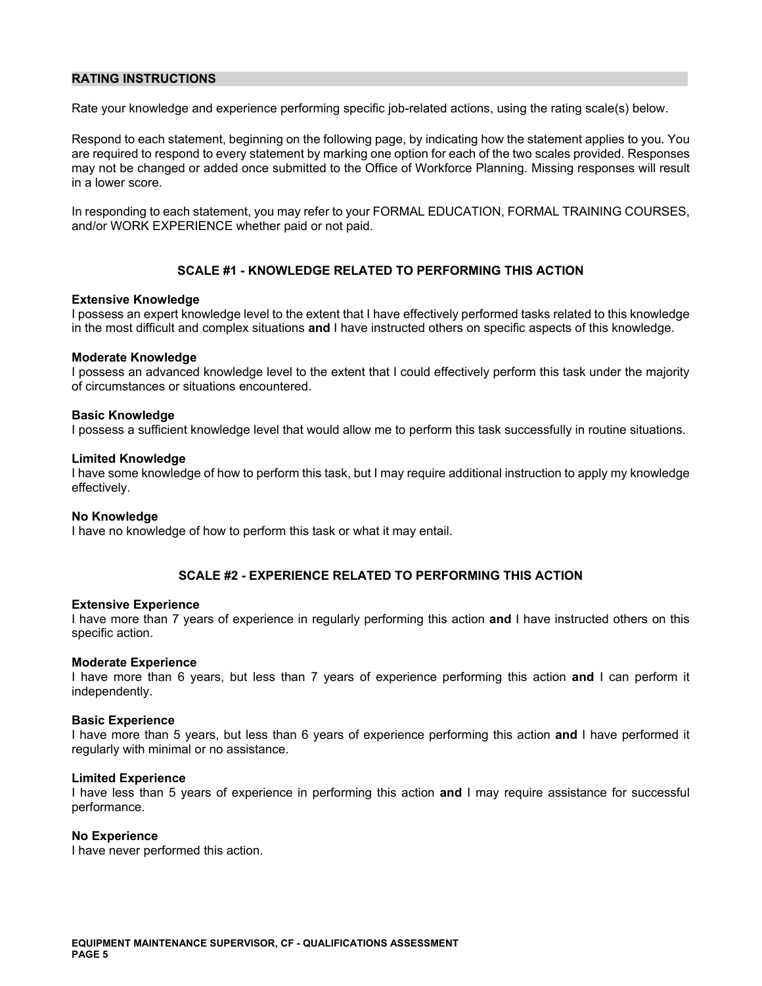# **RATING INSTRUCTIONS**

Rate your knowledge and experience performing specific job-related actions, using the rating scale(s) below.

Respond to each statement, beginning on the following page, by indicating how the statement applies to you. You are required to respond to every statement by marking one option for each of the two scales provided. Responses may not be changed or added once submitted to the Office of Workforce Planning. Missing responses will result in a lower score.

In responding to each statement, you may refer to your FORMAL EDUCATION, FORMAL TRAINING COURSES, and/or WORK EXPERIENCE whether paid or not paid.

# **SCALE #1 - KNOWLEDGE RELATED TO PERFORMING THIS ACTION**

#### **Extensive Knowledge**

I possess an expert knowledge level to the extent that I have effectively performed tasks related to this knowledge in the most difficult and complex situations **and** I have instructed others on specific aspects of this knowledge.

#### **Moderate Knowledge**

I possess an advanced knowledge level to the extent that I could effectively perform this task under the majority of circumstances or situations encountered.

#### **Basic Knowledge**

I possess a sufficient knowledge level that would allow me to perform this task successfully in routine situations.

#### **Limited Knowledge**

I have some knowledge of how to perform this task, but I may require additional instruction to apply my knowledge effectively.

#### **No Knowledge**

I have no knowledge of how to perform this task or what it may entail.

# **SCALE #2 - EXPERIENCE RELATED TO PERFORMING THIS ACTION**

#### **Extensive Experience**

I have more than 7 years of experience in regularly performing this action **and** I have instructed others on this specific action.

#### **Moderate Experience**

I have more than 6 years, but less than 7 years of experience performing this action **and** I can perform it independently.

#### **Basic Experience**

I have more than 5 years, but less than 6 years of experience performing this action **and** I have performed it regularly with minimal or no assistance.

#### **Limited Experience**

I have less than 5 years of experience in performing this action **and** I may require assistance for successful performance.

# **No Experience**

I have never performed this action.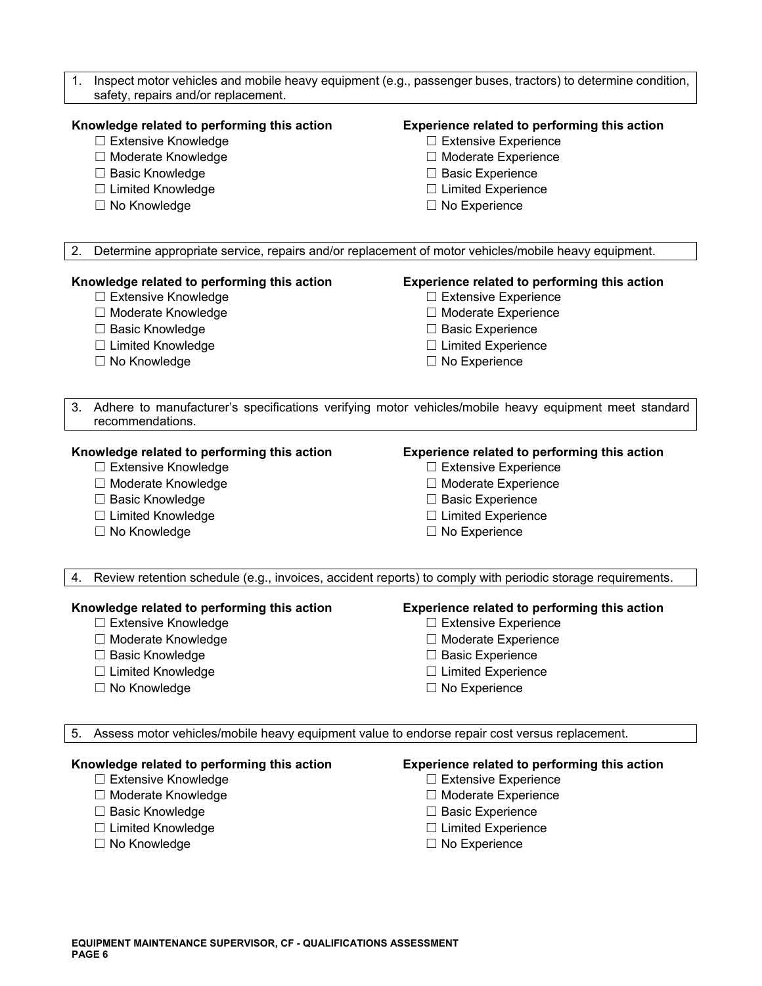| Inspect motor vehicles and mobile heavy equipment (e.g., passenger buses, tractors) to determine condition,<br>1.<br>safety, repairs and/or replacement. |                                              |  |
|----------------------------------------------------------------------------------------------------------------------------------------------------------|----------------------------------------------|--|
| Knowledge related to performing this action                                                                                                              | Experience related to performing this action |  |
| □ Extensive Knowledge                                                                                                                                    | □ Extensive Experience                       |  |
| □ Moderate Knowledge                                                                                                                                     | □ Moderate Experience                        |  |
| □ Basic Knowledge                                                                                                                                        | □ Basic Experience                           |  |
| $\Box$ Limited Knowledge                                                                                                                                 | $\Box$ Limited Experience                    |  |
| □ No Knowledge                                                                                                                                           | $\Box$ No Experience                         |  |
| Determine appropriate service, repairs and/or replacement of motor vehicles/mobile heavy equipment.<br>2.                                                |                                              |  |
| Knowledge related to performing this action                                                                                                              | Experience related to performing this action |  |
| $\Box$ Extensive Knowledge                                                                                                                               | □ Extensive Experience                       |  |
| □ Moderate Knowledge                                                                                                                                     | □ Moderate Experience                        |  |
| □ Basic Knowledge                                                                                                                                        | □ Basic Experience                           |  |
| □ Limited Knowledge                                                                                                                                      | $\Box$ Limited Experience                    |  |
| □ No Knowledge                                                                                                                                           | $\Box$ No Experience                         |  |
| Adhere to manufacturer's specifications verifying motor vehicles/mobile heavy equipment meet standard<br>3.<br>recommendations.                          |                                              |  |
| Knowledge related to performing this action                                                                                                              | Experience related to performing this action |  |
| □ Extensive Knowledge                                                                                                                                    | $\Box$ Extensive Experience                  |  |
| □ Moderate Knowledge                                                                                                                                     | □ Moderate Experience                        |  |
| □ Basic Knowledge                                                                                                                                        | □ Basic Experience                           |  |
| □ Limited Knowledge                                                                                                                                      | $\Box$ Limited Experience                    |  |
| □ No Knowledge                                                                                                                                           | $\Box$ No Experience                         |  |
| Review retention schedule (e.g., invoices, accident reports) to comply with periodic storage requirements.<br>4.                                         |                                              |  |
| Knowledge related to performing this action                                                                                                              | Experience related to performing this action |  |
| □ Extensive Knowledge                                                                                                                                    | $\Box$ Extensive Experience                  |  |
| □ Moderate Knowledge                                                                                                                                     | $\Box$ Moderate Experience                   |  |
| □ Basic Knowledge                                                                                                                                        | <b>Basic Experience</b>                      |  |
| □ Limited Knowledge                                                                                                                                      | $\Box$ Limited Experience                    |  |
| □ No Knowledge                                                                                                                                           | $\Box$ No Experience                         |  |
| Assess motor vehicles/mobile heavy equipment value to endorse repair cost versus replacement.<br>-5.                                                     |                                              |  |
| Knowledge related to performing this action                                                                                                              | Experience related to performing this action |  |
| □ Extensive Knowledge                                                                                                                                    | $\Box$ Extensive Experience                  |  |
| □ Moderate Knowledge                                                                                                                                     | □ Moderate Experience                        |  |

- 
- ☐ Basic Knowledge ☐ Basic Experience ☐ Limited Knowledge ☐ Limited Experience
- 
- 
- 
- 
- □ No Experience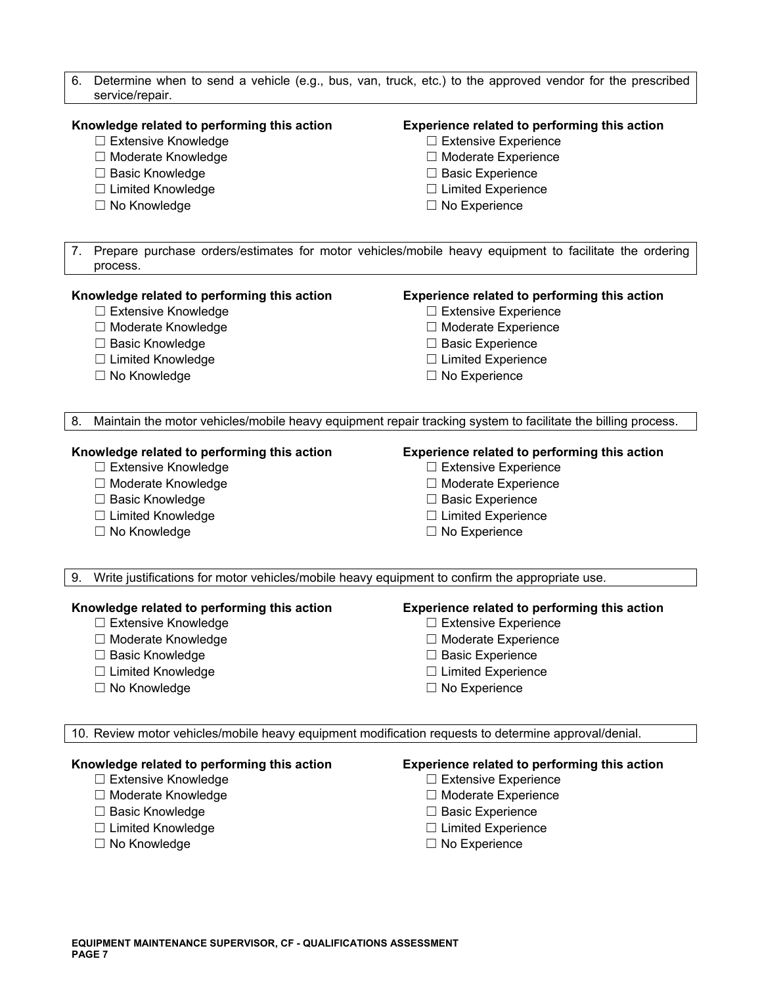- 6. Determine when to send a vehicle (e.g., bus, van, truck, etc.) to the approved vendor for the prescribed service/repair. **Knowledge related to performing this action Experience related to performing this action**  ☐ Extensive Knowledge ☐ Extensive Experience ☐ Moderate Knowledge ☐ Moderate Experience ☐ Basic Knowledge ☐ Basic Experience ☐ Limited Knowledge ☐ Limited Experience ☐ No Knowledge ☐ No Experience 7. Prepare purchase orders/estimates for motor vehicles/mobile heavy equipment to facilitate the ordering process. **Knowledge related to performing this action Experience related to performing this action**  ☐ Extensive Knowledge ☐ Extensive Experience ☐ Moderate Knowledge ☐ Moderate Experience ☐ Basic Knowledge ☐ Basic Experience ☐ Limited Knowledge ☐ Limited Experience ☐ No Knowledge ☐ No Experience 8. Maintain the motor vehicles/mobile heavy equipment repair tracking system to facilitate the billing process. **Knowledge related to performing this action Experience related to performing this action**  ☐ Extensive Knowledge ☐ Extensive Experience ☐ Moderate Knowledge ☐ Moderate Experience ☐ Basic Knowledge ☐ Basic Experience ☐ Limited Knowledge ☐ Limited Experience ☐ No Knowledge ☐ No Experience 9. Write justifications for motor vehicles/mobile heavy equipment to confirm the appropriate use. **Knowledge related to performing this action Experience related to performing this action**  ☐ Extensive Knowledge ☐ Extensive Experience ☐ Moderate Knowledge ☐ Moderate Experience ☐ Basic Knowledge ☐ Basic Experience ☐ Limited Knowledge ☐ Limited Experience ☐ No Knowledge ☐ No Experience 10. Review motor vehicles/mobile heavy equipment modification requests to determine approval/denial. **Knowledge related to performing this action Experience related to performing this action**  ☐ Extensive Knowledge ☐ Extensive Experience ☐ Moderate Knowledge ☐ Moderate Experience
	- ☐ Basic Knowledge ☐ Basic Experience
	- ☐ Limited Knowledge ☐ Limited Experience
	-
- 
- 
- 
- ☐ No Knowledge ☐ No Experience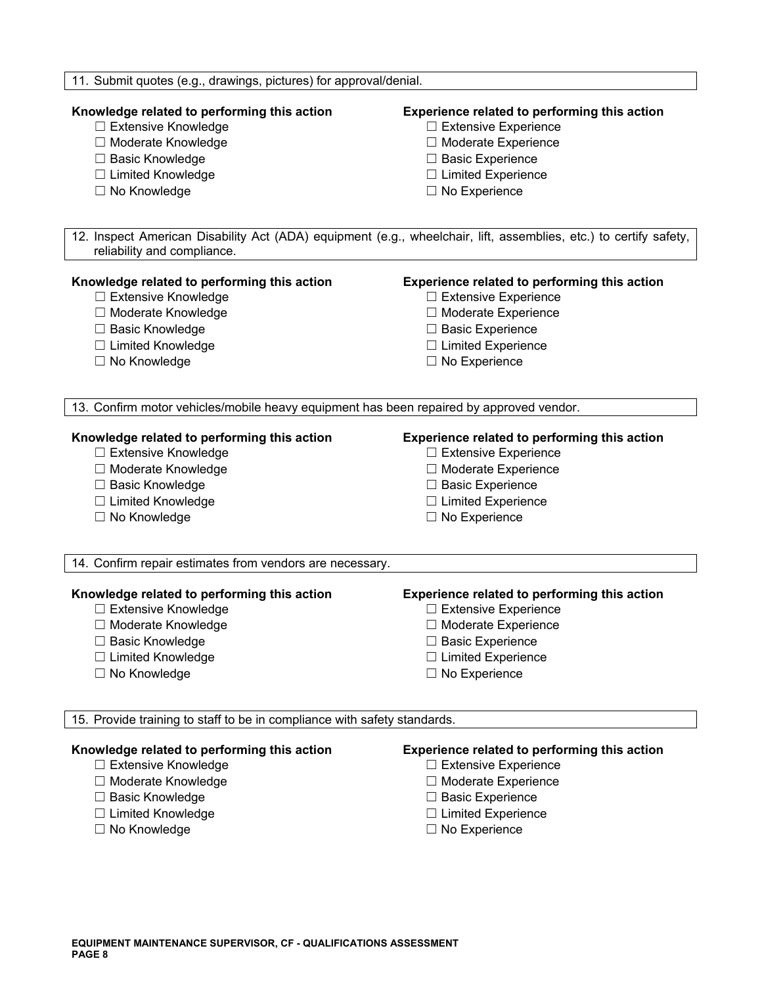| 11. Submit quotes (e.g., drawings, pictures) for approval/denial.                                                                                |                                              |  |
|--------------------------------------------------------------------------------------------------------------------------------------------------|----------------------------------------------|--|
| Knowledge related to performing this action                                                                                                      | Experience related to performing this action |  |
| □ Extensive Knowledge                                                                                                                            | □ Extensive Experience                       |  |
| □ Moderate Knowledge                                                                                                                             | □ Moderate Experience                        |  |
| □ Basic Knowledge                                                                                                                                | □ Basic Experience                           |  |
| □ Limited Knowledge                                                                                                                              | $\Box$ Limited Experience                    |  |
| □ No Knowledge                                                                                                                                   | $\Box$ No Experience                         |  |
| 12. Inspect American Disability Act (ADA) equipment (e.g., wheelchair, lift, assemblies, etc.) to certify safety,<br>reliability and compliance. |                                              |  |
| Knowledge related to performing this action                                                                                                      | Experience related to performing this action |  |
| □ Extensive Knowledge                                                                                                                            | $\Box$ Extensive Experience                  |  |
| □ Moderate Knowledge                                                                                                                             | □ Moderate Experience                        |  |
| □ Basic Knowledge                                                                                                                                | □ Basic Experience                           |  |
| $\Box$ Limited Knowledge                                                                                                                         | $\Box$ Limited Experience                    |  |
| □ No Knowledge                                                                                                                                   | $\Box$ No Experience                         |  |
| 13. Confirm motor vehicles/mobile heavy equipment has been repaired by approved vendor.                                                          |                                              |  |
| Knowledge related to performing this action                                                                                                      | Experience related to performing this action |  |
| □ Extensive Knowledge                                                                                                                            | $\Box$ Extensive Experience                  |  |
| □ Moderate Knowledge                                                                                                                             | □ Moderate Experience                        |  |
| □ Basic Knowledge                                                                                                                                | $\Box$ Basic Experience                      |  |
| □ Limited Knowledge                                                                                                                              | $\Box$ Limited Experience                    |  |
| $\Box$ No Knowledge                                                                                                                              | $\Box$ No Experience                         |  |
| 14. Confirm repair estimates from vendors are necessary.                                                                                         |                                              |  |
| Knowledge related to performing this action                                                                                                      | Experience related to performing this action |  |
| □ Extensive Knowledge                                                                                                                            | □ Extensive Experience                       |  |
| □ Moderate Knowledge                                                                                                                             | $\Box$ Moderate Experience                   |  |
| $\Box$ Basic Knowledge                                                                                                                           | $\Box$ Basic Experience                      |  |
| □ Limited Knowledge                                                                                                                              | $\Box$ Limited Experience                    |  |
| □ No Knowledge                                                                                                                                   | $\Box$ No Experience                         |  |
| 15. Provide training to staff to be in compliance with safety standards.                                                                         |                                              |  |
| Knowledge related to performing this action                                                                                                      | Experience related to performing this action |  |
| □ Extensive Knowledge                                                                                                                            | $\Box$ Extensive Experience                  |  |
| □ Moderate Knowledge                                                                                                                             | □ Moderate Experience                        |  |
| □ Basic Knowledge                                                                                                                                | $\Box$ Basic Experience                      |  |
| □ Limited Knowledge                                                                                                                              | $\Box$ Limited Experience                    |  |
| □ No Knowledge                                                                                                                                   | $\Box$ No Experience                         |  |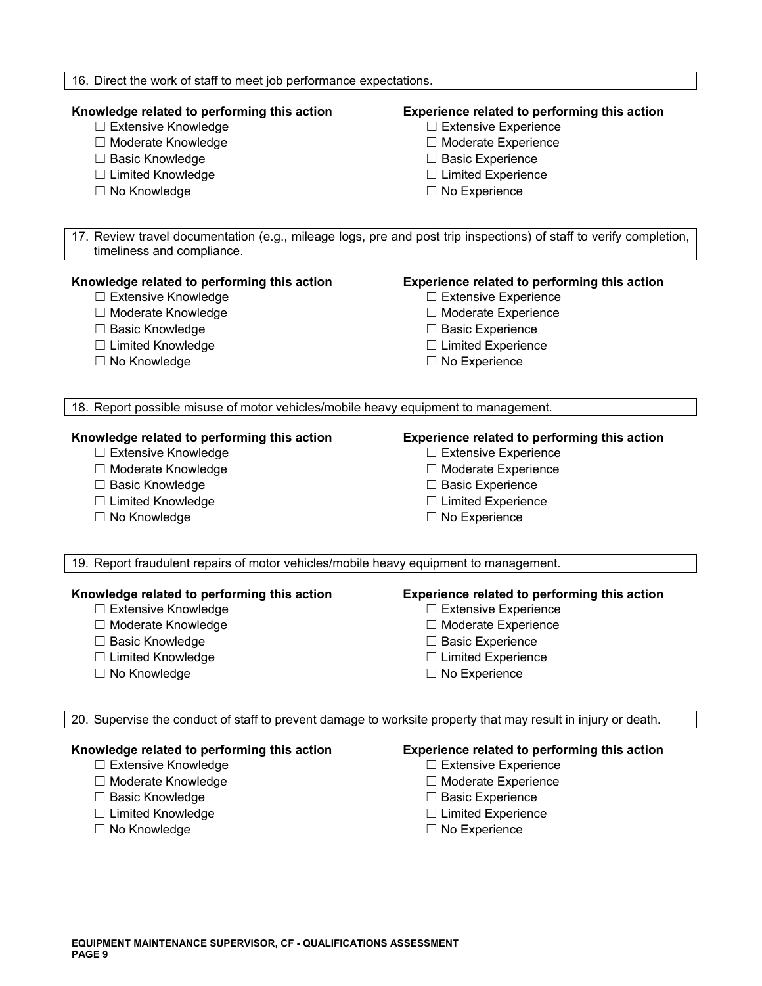| 16. Direct the work of staff to meet job performance expectations.                                                                                                                            |                                                                                                                                                                                           |  |
|-----------------------------------------------------------------------------------------------------------------------------------------------------------------------------------------------|-------------------------------------------------------------------------------------------------------------------------------------------------------------------------------------------|--|
| Knowledge related to performing this action<br>□ Extensive Knowledge<br>□ Moderate Knowledge<br>□ Basic Knowledge<br>□ Limited Knowledge<br>□ No Knowledge                                    | Experience related to performing this action<br>□ Extensive Experience<br>□ Moderate Experience<br>$\Box$ Basic Experience<br>$\Box$ Limited Experience<br>$\Box$ No Experience           |  |
| 17. Review travel documentation (e.g., mileage logs, pre and post trip inspections) of staff to verify completion,                                                                            |                                                                                                                                                                                           |  |
| timeliness and compliance.<br>Knowledge related to performing this action<br>□ Extensive Knowledge<br>□ Moderate Knowledge<br>□ Basic Knowledge<br>□ Limited Knowledge<br>$\Box$ No Knowledge | Experience related to performing this action<br>$\Box$ Extensive Experience<br>□ Moderate Experience<br>□ Basic Experience<br>$\Box$ Limited Experience<br>$\Box$ No Experience           |  |
| 18. Report possible misuse of motor vehicles/mobile heavy equipment to management.                                                                                                            |                                                                                                                                                                                           |  |
| Knowledge related to performing this action<br>□ Extensive Knowledge<br>□ Moderate Knowledge<br>□ Basic Knowledge<br>□ Limited Knowledge<br>□ No Knowledge                                    | Experience related to performing this action<br>□ Extensive Experience<br>□ Moderate Experience<br>□ Basic Experience<br>$\Box$ Limited Experience<br>$\Box$ No Experience                |  |
| 19. Report fraudulent repairs of motor vehicles/mobile heavy equipment to management.                                                                                                         |                                                                                                                                                                                           |  |
| Knowledge related to performing this action<br>□ Extensive Knowledge<br>$\Box$ Moderate Knowledge<br>□ Basic Knowledge<br>□ Limited Knowledge<br>□ No Knowledge                               | Experience related to performing this action<br>□ Extensive Experience<br>$\Box$ Moderate Experience<br>$\Box$ Basic Experience<br>$\Box$ Limited Experience<br>$\Box$ No Experience      |  |
| 20. Supervise the conduct of staff to prevent damage to worksite property that may result in injury or death.                                                                                 |                                                                                                                                                                                           |  |
| Knowledge related to performing this action<br>$\Box$ Extensive Knowledge<br>□ Moderate Knowledge<br>□ Basic Knowledge<br>□ Limited Knowledge<br>□ No Knowledge                               | Experience related to performing this action<br>$\Box$ Extensive Experience<br>$\Box$ Moderate Experience<br>$\Box$ Basic Experience<br>$\Box$ Limited Experience<br>$\Box$ No Experience |  |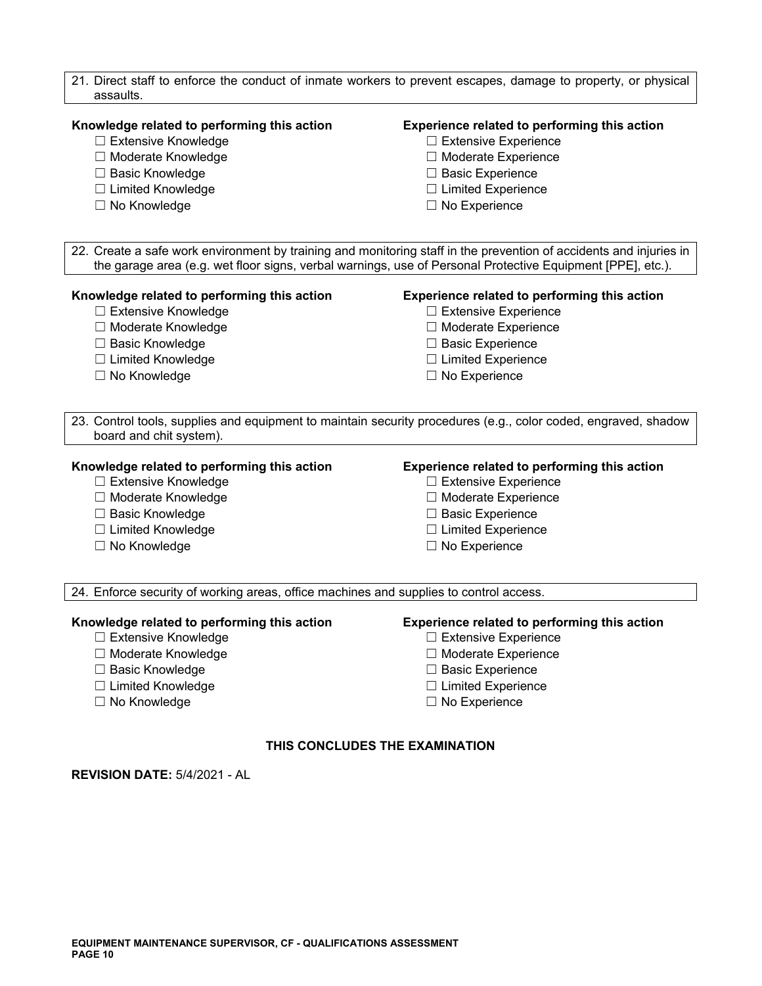| 21. Direct staff to enforce the conduct of inmate workers to prevent escapes, damage to property, or physical<br>assaults.                                                                                                       |                                                                                                                |  |
|----------------------------------------------------------------------------------------------------------------------------------------------------------------------------------------------------------------------------------|----------------------------------------------------------------------------------------------------------------|--|
| Knowledge related to performing this action                                                                                                                                                                                      | Experience related to performing this action                                                                   |  |
| □ Extensive Knowledge                                                                                                                                                                                                            | □ Extensive Experience                                                                                         |  |
| □ Moderate Knowledge                                                                                                                                                                                                             | □ Moderate Experience                                                                                          |  |
| □ Basic Knowledge                                                                                                                                                                                                                | □ Basic Experience                                                                                             |  |
| □ Limited Knowledge                                                                                                                                                                                                              | $\Box$ Limited Experience                                                                                      |  |
| □ No Knowledge                                                                                                                                                                                                                   | $\Box$ No Experience                                                                                           |  |
| 22. Create a safe work environment by training and monitoring staff in the prevention of accidents and injuries in<br>the garage area (e.g. wet floor signs, verbal warnings, use of Personal Protective Equipment [PPE], etc.). |                                                                                                                |  |
| Knowledge related to performing this action                                                                                                                                                                                      | Experience related to performing this action                                                                   |  |
| □ Extensive Knowledge                                                                                                                                                                                                            | $\Box$ Extensive Experience                                                                                    |  |
| □ Moderate Knowledge                                                                                                                                                                                                             | □ Moderate Experience                                                                                          |  |
| □ Basic Knowledge                                                                                                                                                                                                                | □ Basic Experience                                                                                             |  |
| □ Limited Knowledge                                                                                                                                                                                                              | $\Box$ Limited Experience                                                                                      |  |
| $\Box$ No Knowledge                                                                                                                                                                                                              | $\Box$ No Experience                                                                                           |  |
| board and chit system).                                                                                                                                                                                                          | 23. Control tools, supplies and equipment to maintain security procedures (e.g., color coded, engraved, shadow |  |
| Knowledge related to performing this action                                                                                                                                                                                      | Experience related to performing this action                                                                   |  |
| □ Extensive Knowledge                                                                                                                                                                                                            | □ Extensive Experience                                                                                         |  |
| □ Moderate Knowledge                                                                                                                                                                                                             | □ Moderate Experience                                                                                          |  |
| □ Basic Knowledge                                                                                                                                                                                                                | □ Basic Experience                                                                                             |  |
| □ Limited Knowledge                                                                                                                                                                                                              | $\Box$ Limited Experience                                                                                      |  |
| □ No Knowledge                                                                                                                                                                                                                   | $\Box$ No Experience                                                                                           |  |
| 24. Enforce security of working areas, office machines and supplies to control access.                                                                                                                                           |                                                                                                                |  |
| Knowledge related to performing this action                                                                                                                                                                                      | Experience related to performing this action                                                                   |  |
| □ Extensive Knowledge                                                                                                                                                                                                            | $\Box$ Extensive Experience                                                                                    |  |
| □ Moderate Knowledge                                                                                                                                                                                                             | □ Moderate Experience                                                                                          |  |
| □ Basic Knowledge                                                                                                                                                                                                                | $\Box$ Basic Experience                                                                                        |  |
| □ Limited Knowledge                                                                                                                                                                                                              | $\Box$ Limited Experience                                                                                      |  |
| □ No Knowledge                                                                                                                                                                                                                   | $\Box$ No Experience                                                                                           |  |

# **THIS CONCLUDES THE EXAMINATION**

**REVISION DATE:** 5/4/2021 - AL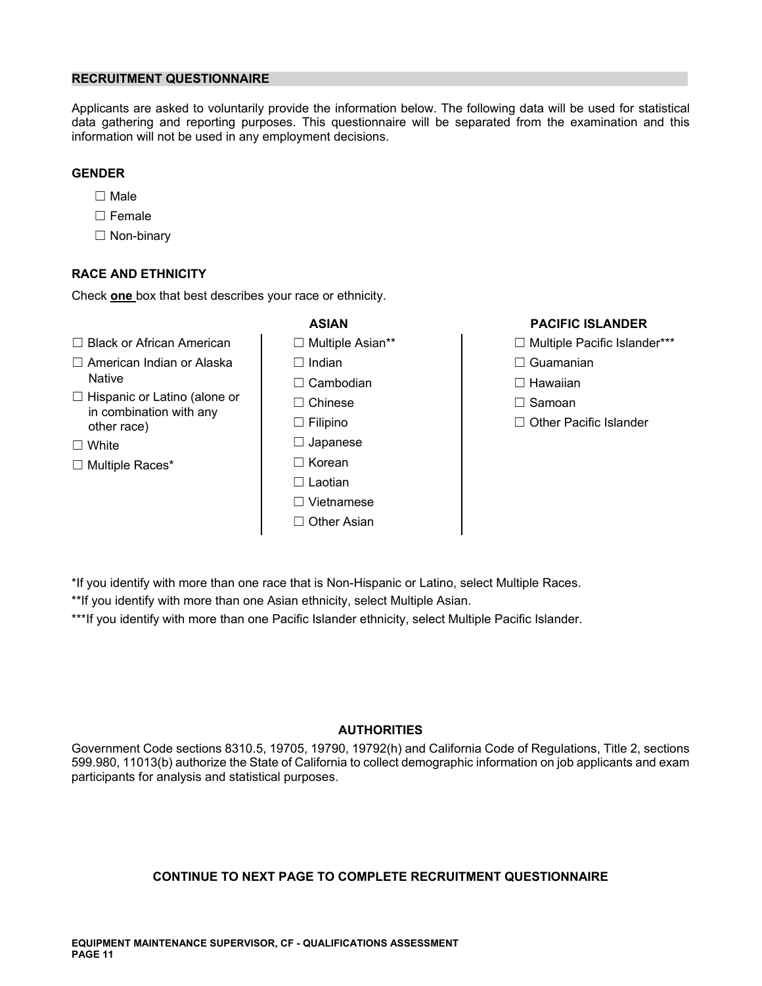# **RECRUITMENT QUESTIONNAIRE**

Applicants are asked to voluntarily provide the information below. The following data will be used for statistical data gathering and reporting purposes. This questionnaire will be separated from the examination and this information will not be used in any employment decisions.

# **GENDER**

- ☐ Male
- ☐ Female
- ☐ Non-binary

# **RACE AND ETHNICITY**

Check **one** box that best describes your race or ethnicity.

- ☐ Black or African American ☐ Multiple Asian\*\* ☐ Multiple Pacific Islander\*\*\*
- ☐ American Indian or Alaska ☐ Indian ☐ Guamanian
- ☐ Hispanic or Latino (alone or ☐ Chinese ☐ Samoan in combination with any other race) ☐ Filipino ☐ Other Pacific Islander
- 
- ☐ Multiple Races\* ☐ Korean
- Native ☐ Cambodian ☐ Hawaiian ☐ White ☐ Japanese ☐ Laotian
	- ☐ Vietnamese
	- ☐ Other Asian

# **ASIAN PACIFIC ISLANDER**

- 
- 
- 
- 
- 

\*If you identify with more than one race that is Non-Hispanic or Latino, select Multiple Races.

\*\*If you identify with more than one Asian ethnicity, select Multiple Asian.

\*\*\*If you identify with more than one Pacific Islander ethnicity, select Multiple Pacific Islander.

# **AUTHORITIES**

Government Code sections 8310.5, 19705, 19790, 19792(h) and California Code of Regulations, Title 2, sections 599.980, 11013(b) authorize the State of California to collect demographic information on job applicants and exam participants for analysis and statistical purposes.

# **CONTINUE TO NEXT PAGE TO COMPLETE RECRUITMENT QUESTIONNAIRE**